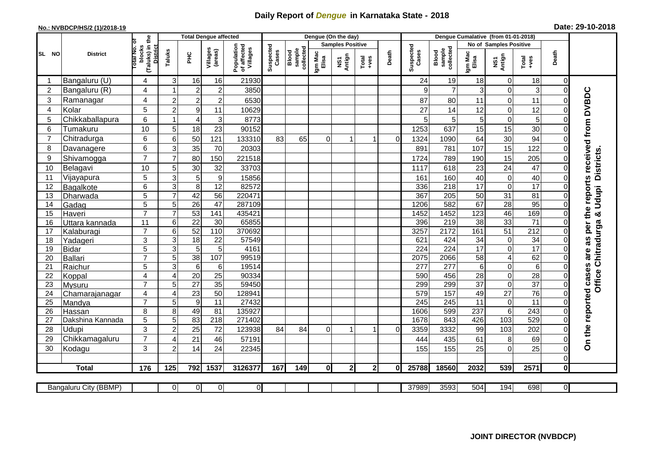## **Daily Report of** *Dengue* **in Karnataka State - 2018**

## **No.: NVBDCP/HS/2 (1)/2018-19 Date: 29-10-2018**

|                |                          |                                       |                     | <b>Total Dengue affected</b>       |                       |                                       | Dengue (On the day) |                                                    |                         |                |               |             |                    |                              |                        |                            |                       |                         |                                            |
|----------------|--------------------------|---------------------------------------|---------------------|------------------------------------|-----------------------|---------------------------------------|---------------------|----------------------------------------------------|-------------------------|----------------|---------------|-------------|--------------------|------------------------------|------------------------|----------------------------|-----------------------|-------------------------|--------------------------------------------|
|                |                          | ō                                     |                     |                                    |                       |                                       |                     |                                                    | <b>Samples Positive</b> |                |               |             |                    |                              | No of Samples Positive |                            |                       |                         |                                            |
| SL NO          | <b>District</b>          | (Taluks) in the<br>otal No.<br>blocks | Taluks              | PHC                                | Villages<br>(areas)   | Population<br>of affected<br>Villages | Suspected<br>Cases  | sample<br>collected<br>$\overline{\mathsf{Blood}}$ | Igm Mac<br>Elisa        | Antign<br>NS7  | Total<br>+ves | Death       | Suspected<br>Cases | Blood<br>sample<br>collected | Igm Mac<br>Elisa       | NS1<br>Antign              | $Tota$<br>$+ves$      | Death                   |                                            |
|                | Bangaluru (U)            | 4                                     | 3                   | 16                                 | 16                    | 21930                                 |                     |                                                    |                         |                |               |             | 24                 | 19                           | 18                     | $\overline{0}$             | 18                    | 0                       |                                            |
| $\overline{2}$ | Bangaluru (R)            | 4                                     | 1                   | $\sqrt{2}$                         | $\overline{2}$        | 3850                                  |                     |                                                    |                         |                |               |             | 9                  | $\overline{7}$               | 3                      | $\pmb{0}$                  | 3                     | $\mathbf 0$             |                                            |
| 3              | Ramanagar                | 4                                     | $\overline{2}$      | $\overline{a}$                     | $\overline{2}$        | 6530                                  |                     |                                                    |                         |                |               |             | 87                 | 80                           | 11                     | $\mathbf 0$                | 11                    | $\Omega$                | are as per the reports received from DVBDC |
| 4              | Kolar                    | 5                                     | $\overline{c}$      | $\boldsymbol{9}$                   | 11                    | 10629                                 |                     |                                                    |                         |                |               |             | 27                 | 14                           | 12                     | $\boldsymbol{0}$           | 12                    | $\Omega$                |                                            |
| 5              | Chikkaballapura          | 6                                     | $\overline{1}$      | $\overline{4}$                     | 3                     | 8773                                  |                     |                                                    |                         |                |               |             | 5                  | 5                            | $\overline{5}$         | $\mathbf 0$                | 5                     | $\overline{0}$          |                                            |
| 6              | Tumakuru                 | 10                                    | 5                   | 18                                 | 23                    | 90152                                 |                     |                                                    |                         |                |               |             | 1253               | 637                          | 15                     | 15                         | 30                    | $\Omega$                |                                            |
| 7              | Chitradurga              | $6\phantom{1}$                        | 6                   | 50                                 | 121                   | 133310                                | 83                  | 65                                                 | 0                       |                | 1             | $\mathbf 0$ | 1324               | 1090                         | 64                     | 30                         | 94                    | $\Omega$                |                                            |
| 8              | Davanagere               | $6\phantom{1}$                        | 3                   | 35                                 | 70                    | 20303                                 |                     |                                                    |                         |                |               |             | 891                | 781                          | 107                    | 15                         | 122                   | $\mathbf 0$             |                                            |
| 9              | Shivamogga               | $\overline{7}$                        | $\overline{7}$      | 80                                 | 150                   | 221518                                |                     |                                                    |                         |                |               |             | 1724               | 789                          | 190                    | 15                         | 205                   | 0                       |                                            |
| 10             | Belagavi                 | 10                                    | 5                   | 30                                 | 32                    | 33703                                 |                     |                                                    |                         |                |               |             | 1117               | 618                          | 23                     | 24                         | 47                    | $\Omega$                | <b>Districts</b>                           |
| 11             | Vijayapura               | 5                                     | 3                   | $\sqrt{5}$                         | 9                     | 15856                                 |                     |                                                    |                         |                |               |             | 161                | 160                          | 40                     | $\boldsymbol{0}$           | 40                    | $\Omega$                |                                            |
| 12             | Bagalkote                | 6                                     | 3                   | $\infty$                           | $\overline{12}$       | 82572                                 |                     |                                                    |                         |                |               |             | 336                | $\overline{218}$             | 17                     | $\mathbf 0$                | $\overline{17}$       | 0                       |                                            |
| 13             | Dharwada                 | $\overline{5}$                        | $\overline{7}$      | 42                                 | 56                    | 220471                                |                     |                                                    |                         |                |               |             | 367                | 205                          | 50                     | 31                         | 81                    | 0                       |                                            |
| 14             | Gadag                    | $\overline{5}$                        | $\overline{5}$      | $\overline{26}$                    | 47                    | 287109                                |                     |                                                    |                         |                |               |             | 1206               | 582                          | 67                     | 28                         | 95                    | $\Omega$                | Udupi                                      |
| 15             | Haveri                   | $\overline{7}$                        | $\overline{7}$      | 53                                 | 141                   | 435421                                |                     |                                                    |                         |                |               |             | 1452               | 1452                         | 123                    | 46                         | 169                   | 0                       | න්                                         |
| 16             | Uttara kannada           | 11                                    | 6                   | $\overline{22}$                    | $\overline{30}$       | 65855                                 |                     |                                                    |                         |                |               |             | 396                | 219                          | 38                     | 33                         | $\overline{71}$       | 0                       |                                            |
| 17             | Kalaburagi               | $\overline{7}$                        | 6                   | 52                                 | $\frac{110}{110}$     | 370692                                |                     |                                                    |                         |                |               |             | 3257               | $\overline{2172}$            | 161                    | 51                         | $\overline{212}$      |                         |                                            |
| 18             | Yadageri                 | 3                                     | 3                   | 18                                 | 22                    | 57549                                 |                     |                                                    |                         |                |               |             | 621                | 424                          | 34                     | $\pmb{0}$                  | 34                    | 0                       |                                            |
| 19             | <b>Bidar</b>             | 5                                     | $\overline{3}$      | $\overline{5}$                     | $\overline{5}$        | 4161                                  |                     |                                                    |                         |                |               |             | 224                | 224                          | 17                     | $\pmb{0}$                  | 17                    |                         |                                            |
| 20             | Ballari                  | $\overline{7}$                        | $\overline{5}$      | 38                                 | 107                   | 99519                                 |                     |                                                    |                         |                |               |             | 2075               | 2066                         | 58                     | $\overline{4}$             | 62                    | $\Omega$                |                                            |
| 21             | Raichur                  | 5                                     | 3                   | $\,6$                              | 6                     | 19514                                 |                     |                                                    |                         |                |               |             | 277                | 277                          | $6\phantom{1}$         | $\pmb{0}$                  | 6                     | $\Omega$                |                                            |
| 22             | Koppal                   | $\overline{4}$<br>$\overline{7}$      | $\overline{4}$<br>5 | $\overline{20}$<br>$\overline{27}$ | 25<br>$\overline{35}$ | 90334<br>59450                        |                     |                                                    |                         |                |               |             | 590<br>299         | 456<br>299                   | 28<br>$\overline{37}$  | $\mathbf 0$<br>$\mathbf 0$ | 28<br>$\overline{37}$ | $\Omega$<br>0           | Office Chitradurga                         |
| 23<br>24       | Mysuru                   | 4                                     | $\overline{4}$      | 23                                 | 50                    | 12894                                 |                     |                                                    |                         |                |               |             | 579                | 157                          | 49                     | $\overline{27}$            | 76                    | $\mathbf 0$             |                                            |
| 25             | Chamarajanagar<br>Mandya | $\overline{7}$                        | 5                   | Θ                                  | $\overline{11}$       | 27432                                 |                     |                                                    |                         |                |               |             | 245                | 245                          | 11                     | $\mathbf 0$                | $\overline{11}$       | 0                       |                                            |
| 26             | Hassan                   | 8                                     | 8                   | 49                                 | 81                    | 135927                                |                     |                                                    |                         |                |               |             | 1606               | 599                          | 237                    | $\,6\,$                    | 243                   | $\mathbf 0$             |                                            |
| 27             | Dakshina Kannada         | $\overline{5}$                        | $\overline{5}$      | 83                                 | 218                   | 271402                                |                     |                                                    |                         |                |               |             | 1678               | 843                          | 426                    | 103                        | 529                   | 0                       |                                            |
| 28             | Udupi                    | 3                                     | $\overline{2}$      | 25                                 | 72                    | 123938                                | 84                  | 84                                                 | $\Omega$                |                | 1             | $\Omega$    | 3359               | 3332                         | 99                     | 103                        | 202                   | $\Omega$                |                                            |
| 29             | Chikkamagaluru           | $\overline{7}$                        | $\overline{4}$      | 21                                 | 46                    | 57191                                 |                     |                                                    |                         |                |               |             | 444                | 435                          | 61                     | 8                          | 69                    | $\Omega$                | On the reported cases                      |
| 30             | Kodagu                   | 3                                     | $\overline{c}$      | 14                                 | 24                    | 22345                                 |                     |                                                    |                         |                |               |             | 155                | 155                          | 25                     | $\mathbf 0$                | 25                    | $\Omega$                |                                            |
|                |                          |                                       |                     |                                    |                       |                                       |                     |                                                    |                         |                |               |             |                    |                              |                        |                            |                       | 0                       |                                            |
|                | <b>Total</b>             | 176                                   | 125                 | 792                                | 1537                  | 3126377                               | 167                 | 149                                                | 01                      | 2 <sub>l</sub> | $\mathbf{2}$  | $\bf{0}$    | 25788              | 18560                        | 2032                   | 539                        | 2571                  | $\mathbf 0$             |                                            |
|                |                          |                                       |                     |                                    |                       |                                       |                     |                                                    |                         |                |               |             |                    |                              |                        |                            |                       |                         |                                            |
|                | Bangaluru City (BBMP)    |                                       | $\Omega$            | $\overline{0}$                     | $\overline{0}$        | $\overline{0}$                        |                     |                                                    |                         |                |               |             | 37989              | 3593                         | 504                    | 194                        | 698                   | $\overline{\mathsf{o}}$ |                                            |